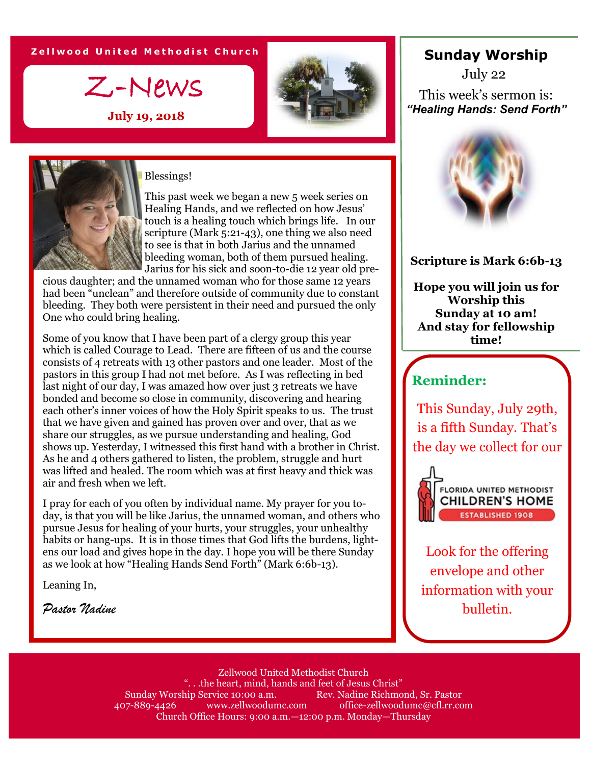**Z e l l w o o d U n i t e d M e t h o d i s t C h u r c h**

Z-News

**July 19, 2018**





#### Blessings!

This past week we began a new 5 week series on Healing Hands, and we reflected on how Jesus' touch is a healing touch which brings life. In our scripture (Mark 5:21-43), one thing we also need to see is that in both Jarius and the unnamed bleeding woman, both of them pursued healing. Jarius for his sick and soon-to-die 12 year old pre-

cious daughter; and the unnamed woman who for those same 12 years had been "unclean" and therefore outside of community due to constant bleeding. They both were persistent in their need and pursued the only One who could bring healing.

Some of you know that I have been part of a clergy group this year which is called Courage to Lead. There are fifteen of us and the course consists of 4 retreats with 13 other pastors and one leader. Most of the pastors in this group I had not met before. As I was reflecting in bed last night of our day, I was amazed how over just 3 retreats we have bonded and become so close in community, discovering and hearing each other's inner voices of how the Holy Spirit speaks to us. The trust that we have given and gained has proven over and over, that as we share our struggles, as we pursue understanding and healing, God shows up. Yesterday, I witnessed this first hand with a brother in Christ. As he and 4 others gathered to listen, the problem, struggle and hurt was lifted and healed. The room which was at first heavy and thick was air and fresh when we left.

I pray for each of you often by individual name. My prayer for you today, is that you will be like Jarius, the unnamed woman, and others who pursue Jesus for healing of your hurts, your struggles, your unhealthy habits or hang-ups. It is in those times that God lifts the burdens, lightens our load and gives hope in the day. I hope you will be there Sunday as we look at how "Healing Hands Send Forth" (Mark 6:6b-13).

Leaning In,

*Pastor Nadine*

### **Sunday Worship**

This week's sermon is: *"Healing Hands: Send Forth"* July 22



#### **Scripture is Mark 6:6b-13**

**Hope you will join us for Worship this Sunday at 10 am! And stay for fellowship time!**

# **Reminder:**

This Sunday, July 29th, is a fifth Sunday. That's the day we collect for our



Look for the offering envelope and other information with your bulletin.

Zellwood United Methodist Church ". . .the heart, mind, hands and feet of Jesus Christ" Sunday Worship Service 10:00 a.m. Rev. Nadine Richmond, Sr. Pastor 407-889-4426 www.zellwoodumc.com office-zellwoodumc@cfl.rr.com Church Office Hours: 9:00 a.m.—12:00 p.m. Monday—Thursday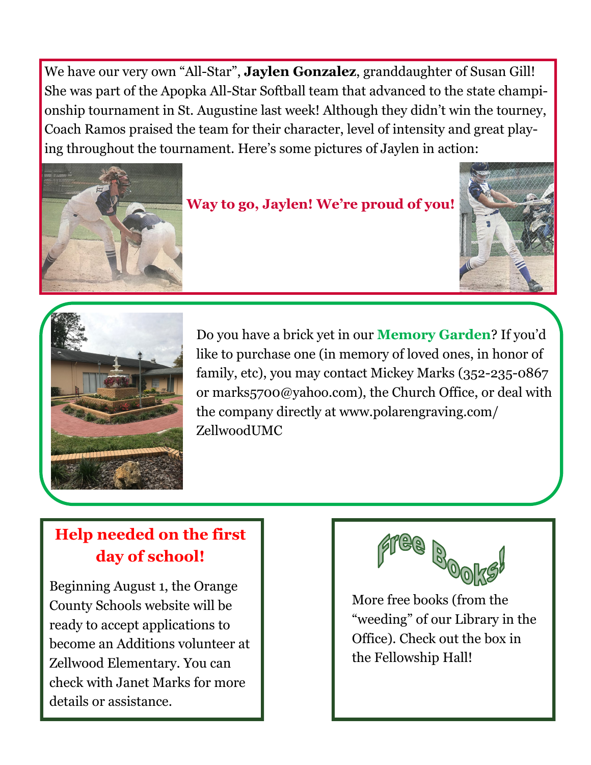We have our very own "All-Star", **Jaylen Gonzalez**, granddaughter of Susan Gill! She was part of the Apopka All-Star Softball team that advanced to the state championship tournament in St. Augustine last week! Although they didn't win the tourney, Coach Ramos praised the team for their character, level of intensity and great playing throughout the tournament. Here's some pictures of Jaylen in action:



## **Way to go, Jaylen! We're proud of you!**





Do you have a brick yet in our **Memory Garden**? If you'd like to purchase one (in memory of loved ones, in honor of family, etc), you may contact Mickey Marks (352-235-0867 or marks5700@yahoo.com), the Church Office, or deal with the company directly at www.polarengraving.com/ ZellwoodUMC

# **Help needed on the first day of school!**

Beginning August 1, the Orange County Schools website will be ready to accept applications to become an Additions volunteer at Zellwood Elementary. You can check with Janet Marks for more details or assistance.



More free books (from the "weeding" of our Library in the Office). Check out the box in the Fellowship Hall!